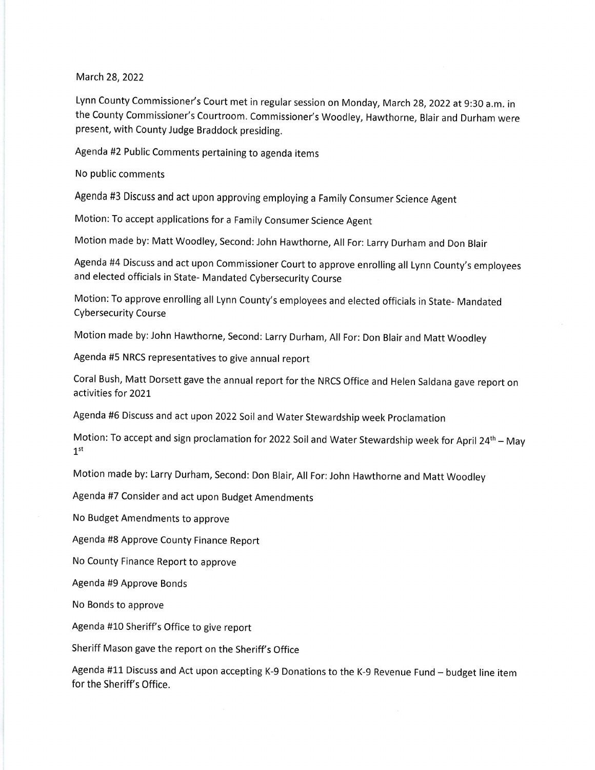## March 28,2022

Lynn County Commissioner's Court met in regular session on Monday, March 28,2022 at 9:30 a.m. in the County Commissioner's Courtroom. Commissioner's Woodley, Hawthorne, Blair and Durham were present, with County Judge Braddock presiding.

Agenda #2 Public Comments pertaining to agenda items

No public comments

Agenda #3 Discuss and act upon approving employing a Family Consumer Science Agent

Motion: To accept applications for a Family Consumer Science Agent

Motion made by: Matt Woodley, Second: John Hawthorne, All For: Larry Durham and Don Blair

Agenda #4 Discuss and act upon Commissioner Court to approve enrolling all Lynn County's employees and elected officials in State- Mandated Cybersecurity Course

Motion:To approve enrolling all Lynn County's employees and elected officials in State- Mandated Cybersecurity Course

Motion made by: John Hawthorne, Second: Larry Durham, All For: Don Blair and Matt Woodley

Agenda #5 NRCS representatives to give annual report

Coral Bush, Matt Dorsett gave the annual report for the NRCS Office and Helen Saldana gave report on activities for 2021

Agenda #6 Discuss and act upon 2022 Soil and Water Stewardship week proclamation

Motion: To accept and sign proclamation for 2022 Soil and Water Stewardship week for April 24<sup>th</sup> - May  $1<sup>st</sup>$ 

Motion made by: Larry Durham, Second: Don Blair, All For:John Hawthorne and Matt Woodley

Agenda #7 Consider and act upon Budget Amendments

No Budget Amendments to approve

Agenda #8 Approve County Finance Report

No County Finance Report to approve

Agenda #9 Approve Bonds

No Bonds to approve

Agenda #10 Sheriff's Office to give report

Sheriff Mason gave the report on the Sheriff's Office

Agenda #11 Discuss and Act upon accepting K-9 Donations to the K-9 Revenue Fund - budget line item for the Sheriff's Office.